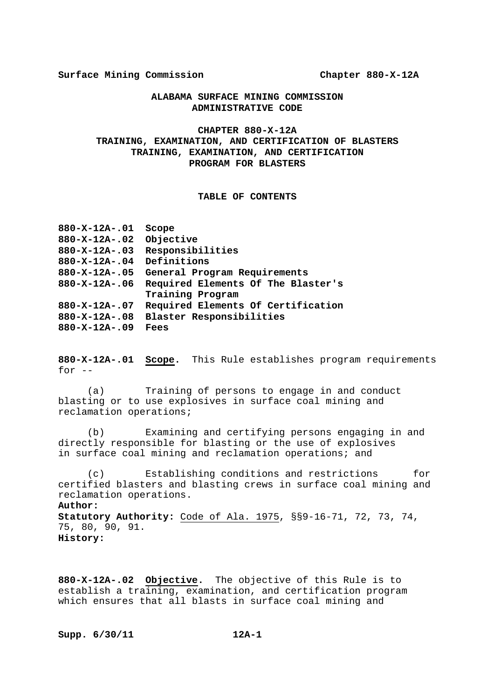# **ALABAMA SURFACE MINING COMMISSION ADMINISTRATIVE CODE**

# **CHAPTER 880-X-12A TRAINING, EXAMINATION, AND CERTIFICATION OF BLASTERS TRAINING, EXAMINATION, AND CERTIFICATION PROGRAM FOR BLASTERS**

# **TABLE OF CONTENTS**

| $880 - X - 12A - .01$ | Scope                              |
|-----------------------|------------------------------------|
| $880 - X - 12A - .02$ | Objective                          |
| $880 - X - 12A - .03$ | Responsibilities                   |
| $880 - X - 12A - .04$ | Definitions                        |
| $880 - X - 12A - .05$ | General Program Requirements       |
| $880 - X - 12A - .06$ | Required Elements Of The Blaster's |
|                       | Training Program                   |
| $880 - X - 12A - .07$ | Required Elements Of Certification |
| $880 - X - 12A - .08$ | Blaster Responsibilities           |
| $880 - X - 12A - .09$ | Fees                               |
|                       |                                    |

**880-X-12A-.01 Scope.** This Rule establishes program requirements for  $--$ 

 (a) Training of persons to engage in and conduct blasting or to use explosives in surface coal mining and reclamation operations;

 (b) Examining and certifying persons engaging in and directly responsible for blasting or the use of explosives in surface coal mining and reclamation operations; and

 (c) Establishing conditions and restrictions for certified blasters and blasting crews in surface coal mining and reclamation operations.

#### **Author:**

**Statutory Authority:** Code of Ala. 1975, §§9-16-71, 72, 73, 74, 75, 80, 90, 91. **History:**

**880-X-12A-.02 Objective.** The objective of this Rule is to establish a training, examination, and certification program which ensures that all blasts in surface coal mining and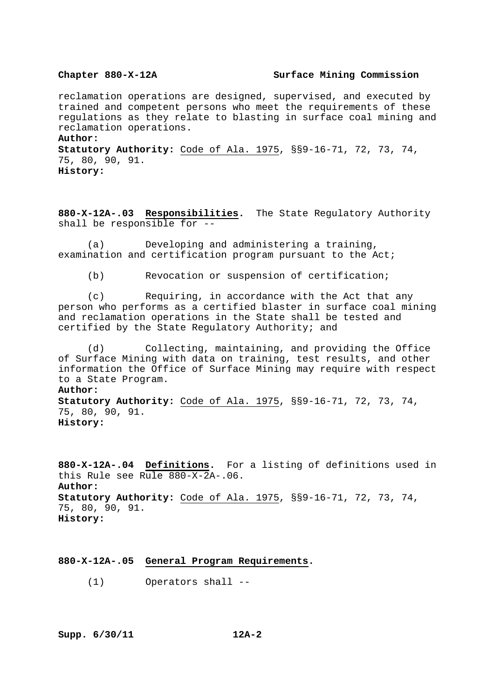#### **Chapter 880-X-12A Surface Mining Commission**

reclamation operations are designed, supervised, and executed by trained and competent persons who meet the requirements of these regulations as they relate to blasting in surface coal mining and reclamation operations.

**Author:**

**Statutory Authority:** Code of Ala. 1975, §§9-16-71, 72, 73, 74, 75, 80, 90, 91. **History:**

**880-X-12A-.03 Responsibilities.** The State Regulatory Authority shall be responsible for --

 (a) Developing and administering a training, examination and certification program pursuant to the Act;

(b) Revocation or suspension of certification;

 (c) Requiring, in accordance with the Act that any person who performs as a certified blaster in surface coal mining and reclamation operations in the State shall be tested and certified by the State Regulatory Authority; and

 (d) Collecting, maintaining, and providing the Office of Surface Mining with data on training, test results, and other information the Office of Surface Mining may require with respect to a State Program. **Author: Statutory Authority:** Code of Ala. 1975, §§9-16-71, 72, 73, 74, 75, 80, 90, 91.

**History:**

**880-X-12A-.04 Definitions.** For a listing of definitions used in this Rule see Rule 880-X-2A-.06. **Author: Statutory Authority:** Code of Ala. 1975, §§9-16-71, 72, 73, 74, 75, 80, 90, 91. **History:**

**880-X-12A-.05 General Program Requirements.**

(1) Operators shall --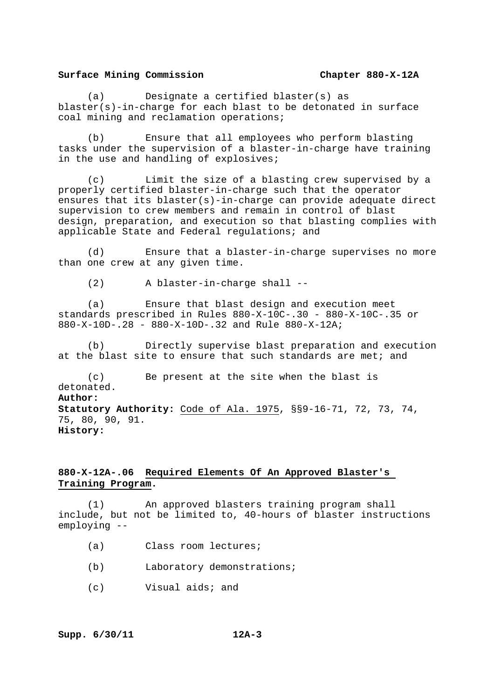(a) Designate a certified blaster(s) as blaster(s)-in-charge for each blast to be detonated in surface coal mining and reclamation operations;

 (b) Ensure that all employees who perform blasting tasks under the supervision of a blaster-in-charge have training in the use and handling of explosives;

 (c) Limit the size of a blasting crew supervised by a properly certified blaster-in-charge such that the operator ensures that its blaster(s)-in-charge can provide adequate direct supervision to crew members and remain in control of blast design, preparation, and execution so that blasting complies with applicable State and Federal regulations; and

 (d) Ensure that a blaster-in-charge supervises no more than one crew at any given time.

(2) A blaster-in-charge shall --

 (a) Ensure that blast design and execution meet standards prescribed in Rules 880-X-10C-.30 - 880-X-10C-.35 or 880-X-10D-.28 - 880-X-10D-.32 and Rule 880-X-12A;

 (b) Directly supervise blast preparation and execution at the blast site to ensure that such standards are met; and

 (c) Be present at the site when the blast is detonated. **Author: Statutory Authority:** Code of Ala. 1975, §§9-16-71, 72, 73, 74, 75, 80, 90, 91. **History:**

# **880-X-12A-.06 Required Elements Of An Approved Blaster's Training Program.**

 (1) An approved blasters training program shall include, but not be limited to, 40-hours of blaster instructions employing --

- (a) Class room lectures;
- (b) Laboratory demonstrations;
- (c) Visual aids; and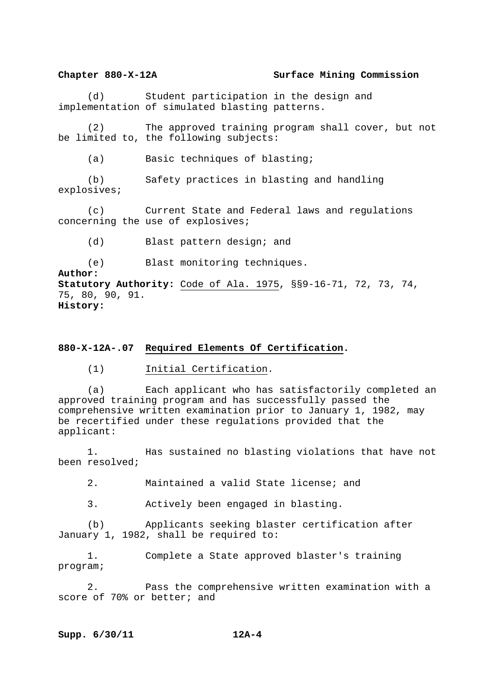## **Chapter 880-X-12A Surface Mining Commission**

 (d) Student participation in the design and implementation of simulated blasting patterns.

 (2) The approved training program shall cover, but not be limited to, the following subjects:

(a) Basic techniques of blasting;

 (b) Safety practices in blasting and handling explosives;

 (c) Current State and Federal laws and regulations concerning the use of explosives;

(d) Blast pattern design; and

(e) Blast monitoring techniques.

**Author: Statutory Authority:** Code of Ala. 1975, §§9-16-71, 72, 73, 74, 75, 80, 90, 91. **History:**

## **880-X-12A-.07 Required Elements Of Certification.**

(1) Initial Certification.

 (a) Each applicant who has satisfactorily completed an approved training program and has successfully passed the comprehensive written examination prior to January 1, 1982, may be recertified under these regulations provided that the applicant:

 1. Has sustained no blasting violations that have not been resolved;

2. Maintained a valid State license; and

3. Actively been engaged in blasting.

 (b) Applicants seeking blaster certification after January 1, 1982, shall be required to:

 1. Complete a State approved blaster's training program;

 2. Pass the comprehensive written examination with a score of 70% or better; and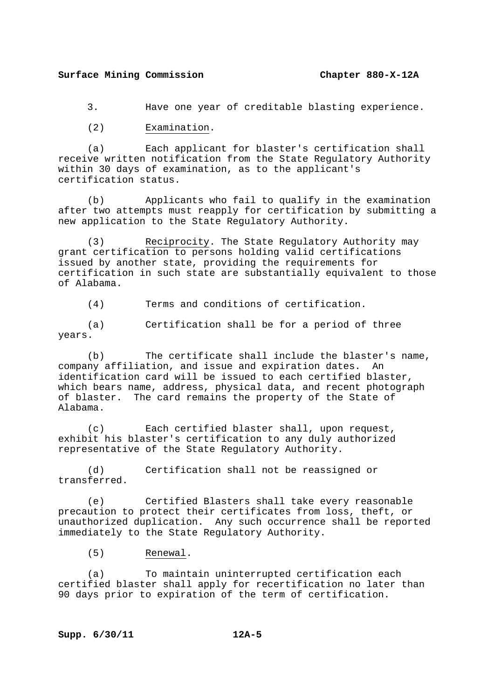3. Have one year of creditable blasting experience.

(2) Examination.

 (a) Each applicant for blaster's certification shall receive written notification from the State Regulatory Authority within 30 days of examination, as to the applicant's certification status.

 (b) Applicants who fail to qualify in the examination after two attempts must reapply for certification by submitting a new application to the State Regulatory Authority.

 (3) Reciprocity. The State Regulatory Authority may grant certification to persons holding valid certifications issued by another state, providing the requirements for certification in such state are substantially equivalent to those of Alabama.

(4) Terms and conditions of certification.

 (a) Certification shall be for a period of three years.

 (b) The certificate shall include the blaster's name, company affiliation, and issue and expiration dates. An identification card will be issued to each certified blaster, which bears name, address, physical data, and recent photograph of blaster. The card remains the property of the State of Alabama.

 (c) Each certified blaster shall, upon request, exhibit his blaster's certification to any duly authorized representative of the State Regulatory Authority.

 (d) Certification shall not be reassigned or transferred.

 (e) Certified Blasters shall take every reasonable precaution to protect their certificates from loss, theft, or unauthorized duplication. Any such occurrence shall be reported immediately to the State Regulatory Authority.

(5) Renewal.

 (a) To maintain uninterrupted certification each certified blaster shall apply for recertification no later than 90 days prior to expiration of the term of certification.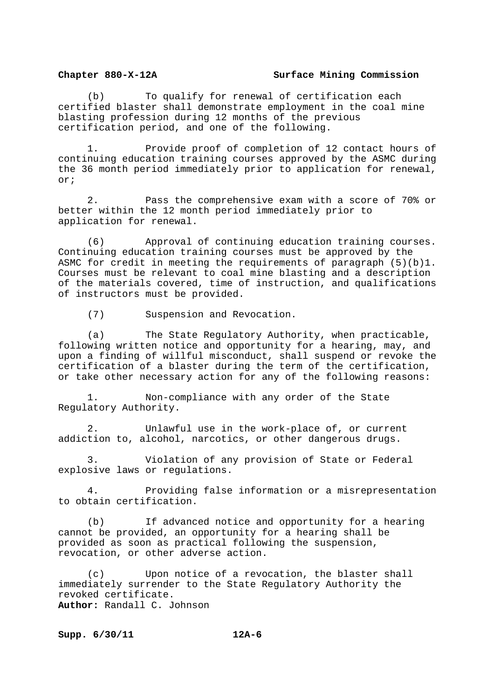#### **Chapter 880-X-12A Surface Mining Commission**

 (b) To qualify for renewal of certification each certified blaster shall demonstrate employment in the coal mine blasting profession during 12 months of the previous certification period, and one of the following.

 1. Provide proof of completion of 12 contact hours of continuing education training courses approved by the ASMC during the 36 month period immediately prior to application for renewal, or;

 2. Pass the comprehensive exam with a score of 70% or better within the 12 month period immediately prior to application for renewal.

 (6) Approval of continuing education training courses. Continuing education training courses must be approved by the ASMC for credit in meeting the requirements of paragraph  $(5)(b)1$ . Courses must be relevant to coal mine blasting and a description of the materials covered, time of instruction, and qualifications of instructors must be provided.

(7) Suspension and Revocation.

 (a) The State Regulatory Authority, when practicable, following written notice and opportunity for a hearing, may, and upon a finding of willful misconduct, shall suspend or revoke the certification of a blaster during the term of the certification, or take other necessary action for any of the following reasons:

 1. Non-compliance with any order of the State Regulatory Authority.

 2. Unlawful use in the work-place of, or current addiction to, alcohol, narcotics, or other dangerous drugs.

 3. Violation of any provision of State or Federal explosive laws or regulations.

 4. Providing false information or a misrepresentation to obtain certification.

 (b) If advanced notice and opportunity for a hearing cannot be provided, an opportunity for a hearing shall be provided as soon as practical following the suspension, revocation, or other adverse action.

 (c) Upon notice of a revocation, the blaster shall immediately surrender to the State Regulatory Authority the revoked certificate. **Author:** Randall C. Johnson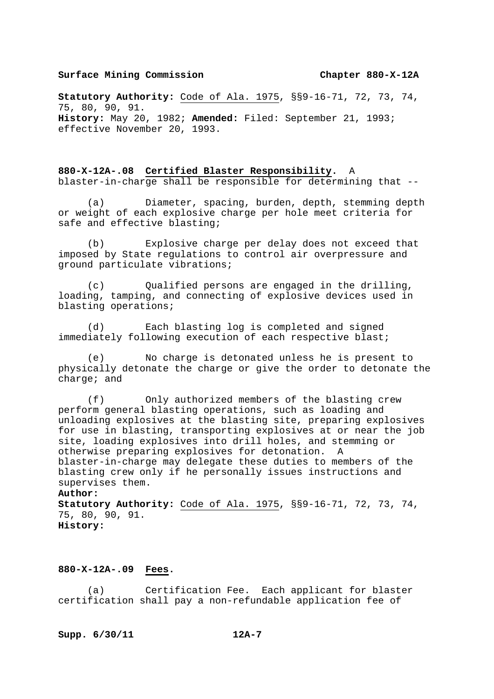**Statutory Authority:** Code of Ala. 1975, §§9-16-71, 72, 73, 74, 75, 80, 90, 91. **History:** May 20, 1982; **Amended:** Filed: September 21, 1993; effective November 20, 1993.

**880-X-12A-.08 Certified Blaster Responsibility.** A blaster-in-charge shall be responsible for determining that --

 (a) Diameter, spacing, burden, depth, stemming depth or weight of each explosive charge per hole meet criteria for safe and effective blasting;

 (b) Explosive charge per delay does not exceed that imposed by State regulations to control air overpressure and ground particulate vibrations;

 (c) Qualified persons are engaged in the drilling, loading, tamping, and connecting of explosive devices used in blasting operations;

 (d) Each blasting log is completed and signed immediately following execution of each respective blast;

 (e) No charge is detonated unless he is present to physically detonate the charge or give the order to detonate the charge; and

 (f) Only authorized members of the blasting crew perform general blasting operations, such as loading and unloading explosives at the blasting site, preparing explosives for use in blasting, transporting explosives at or near the job site, loading explosives into drill holes, and stemming or otherwise preparing explosives for detonation. A blaster-in-charge may delegate these duties to members of the blasting crew only if he personally issues instructions and supervises them.

## **Author:**

**Statutory Authority:** Code of Ala. 1975, §§9-16-71, 72, 73, 74, 75, 80, 90, 91. **History:** 

### **880-X-12A-.09 Fees.**

 (a) Certification Fee. Each applicant for blaster certification shall pay a non-refundable application fee of